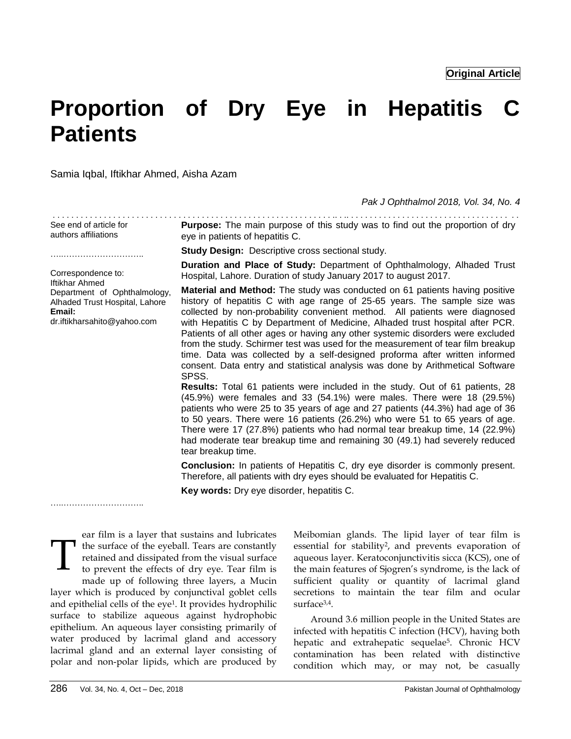# **Proportion of Dry Eye in Hepatitis C Patients**

Samia Iqbal, Iftikhar Ahmed, Aisha Azam

*Pak J Ophthalmol 2018, Vol. 34, No. 4*

| See end of article for<br>authors affiliations                                                                                   | <b>Purpose:</b> The main purpose of this study was to find out the proportion of dry<br>eye in patients of hepatitis C.                                                                                                                                                                                                                                                                                                                                                                                                                                                                                                                                                                                                                                                                                                                                                                                                                                                                                                                                                                                                                                                                       |  |
|----------------------------------------------------------------------------------------------------------------------------------|-----------------------------------------------------------------------------------------------------------------------------------------------------------------------------------------------------------------------------------------------------------------------------------------------------------------------------------------------------------------------------------------------------------------------------------------------------------------------------------------------------------------------------------------------------------------------------------------------------------------------------------------------------------------------------------------------------------------------------------------------------------------------------------------------------------------------------------------------------------------------------------------------------------------------------------------------------------------------------------------------------------------------------------------------------------------------------------------------------------------------------------------------------------------------------------------------|--|
|                                                                                                                                  | <b>Study Design: Descriptive cross sectional study.</b>                                                                                                                                                                                                                                                                                                                                                                                                                                                                                                                                                                                                                                                                                                                                                                                                                                                                                                                                                                                                                                                                                                                                       |  |
| Correspondence to:                                                                                                               | Duration and Place of Study: Department of Ophthalmology, Alhaded Trust<br>Hospital, Lahore. Duration of study January 2017 to august 2017.                                                                                                                                                                                                                                                                                                                                                                                                                                                                                                                                                                                                                                                                                                                                                                                                                                                                                                                                                                                                                                                   |  |
| <b>Iftikhar Ahmed</b><br>Department of Ophthalmology,<br>Alhaded Trust Hospital, Lahore<br>Email:<br>dr.iftikharsahito@yahoo.com | <b>Material and Method:</b> The study was conducted on 61 patients having positive<br>history of hepatitis C with age range of 25-65 years. The sample size was<br>collected by non-probability convenient method. All patients were diagnosed<br>with Hepatitis C by Department of Medicine, Alhaded trust hospital after PCR.<br>Patients of all other ages or having any other systemic disorders were excluded<br>from the study. Schirmer test was used for the measurement of tear film breakup<br>time. Data was collected by a self-designed proforma after written informed<br>consent. Data entry and statistical analysis was done by Arithmetical Software<br>SPSS.<br>Results: Total 61 patients were included in the study. Out of 61 patients, 28<br>(45.9%) were females and 33 (54.1%) were males. There were 18 (29.5%)<br>patients who were 25 to 35 years of age and 27 patients (44.3%) had age of 36<br>to 50 years. There were 16 patients (26.2%) who were 51 to 65 years of age.<br>There were 17 (27.8%) patients who had normal tear breakup time, 14 (22.9%)<br>had moderate tear breakup time and remaining 30 (49.1) had severely reduced<br>tear breakup time. |  |
|                                                                                                                                  | <b>Conclusion:</b> In patients of Hepatitis C, dry eye disorder is commonly present.<br>Therefore, all patients with dry eyes should be evaluated for Hepatitis C.                                                                                                                                                                                                                                                                                                                                                                                                                                                                                                                                                                                                                                                                                                                                                                                                                                                                                                                                                                                                                            |  |
|                                                                                                                                  | Key words: Dry eye disorder, hepatitis C.                                                                                                                                                                                                                                                                                                                                                                                                                                                                                                                                                                                                                                                                                                                                                                                                                                                                                                                                                                                                                                                                                                                                                     |  |

ear film is a layer that sustains and lubricates I the surface of the eyeball. Tears are constantly retained and dissipated from the visual surface to prevent the effects of dry eye. Tear film is made up of following three layers, a Mucin layer which is produced by conjunctival goblet cells and epithelial cells of the eye<sup>1</sup> . It provides hydrophilic surface to stabilize aqueous against hydrophobic epithelium. An aqueous layer consisting primarily of water produced by lacrimal gland and accessory lacrimal gland and an external layer consisting of polar and non-polar lipids, which are produced by T

Meibomian glands. The lipid layer of tear film is essential for stability<sup>2</sup>, and prevents evaporation of aqueous layer. Keratoconjunctivitis sicca (KCS), one of the main features of Sjogren's syndrome, is the lack of sufficient quality or quantity of lacrimal gland secretions to maintain the tear film and ocular surface3,4 .

Around 3.6 million people in the United States are infected with hepatitis C infection (HCV), having both hepatic and extrahepatic sequelae<sup>5</sup>. Chronic HCV contamination has been related with distinctive condition which may, or may not, be casually

……………………………………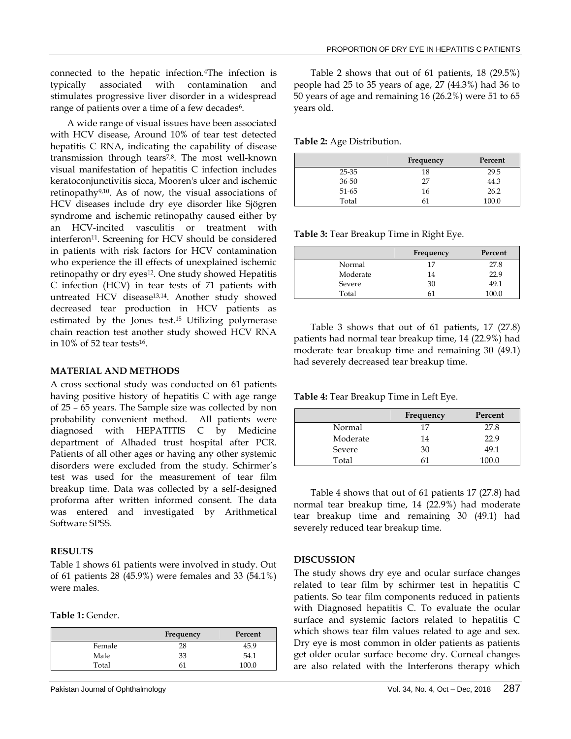connected to the hepatic infection.4The infection is typically associated with contamination and stimulates progressive liver disorder in a widespread range of patients over a time of a few decades<sup>6</sup>.

A wide range of visual issues have been associated with HCV disease, Around 10% of tear test detected hepatitis C RNA, indicating the capability of disease transmission through tears<sup>7,8</sup>. The most well-known visual manifestation of hepatitis C infection includes keratoconjunctivitis sicca, Mooren's ulcer and ischemic retinopathy9,10 . As of now, the visual associations of HCV diseases include dry eye disorder like Sjögren syndrome and ischemic retinopathy caused either by an HCV-incited vasculitis or treatment with interferon<sup>11</sup> . Screening for HCV should be considered in patients with risk factors for HCV contamination who experience the ill effects of unexplained ischemic retinopathy or dry eyes<sup>12</sup>. One study showed Hepatitis C infection (HCV) in tear tests of 71 patients with untreated HCV disease<sup>13,14</sup>. Another study showed decreased tear production in HCV patients as estimated by the Jones test.<sup>15</sup> Utilizing polymerase chain reaction test another study showed HCV RNA in  $10\%$  of 52 tear tests<sup>16</sup>.

#### **MATERIAL AND METHODS**

A cross sectional study was conducted on 61 patients having positive history of hepatitis C with age range of 25 – 65 years. The Sample size was collected by non probability convenient method. All patients were diagnosed with HEPATITIS C by Medicine department of Alhaded trust hospital after PCR. Patients of all other ages or having any other systemic disorders were excluded from the study. Schirmer's test was used for the measurement of tear film breakup time. Data was collected by a self-designed proforma after written informed consent. The data was entered and investigated by Arithmetical Software SPSS.

## **RESULTS**

Table 1 shows 61 patients were involved in study. Out of 61 patients 28 (45.9%) were females and 33 (54.1%) were males.

**Table 1:** Gender.

|        | Frequency | Percent |
|--------|-----------|---------|
| Female | 28        | 45.9    |
| Male   | 33        | 54.1    |
| Total  |           | 100.0   |

Table 2 shows that out of 61 patients, 18 (29.5%) people had 25 to 35 years of age, 27 (44.3%) had 36 to 50 years of age and remaining 16 (26.2%) were 51 to 65 years old.

**Table 2:** Age Distribution.

|           | Frequency | Percent |
|-----------|-----------|---------|
| 25-35     | 18        | 29.5    |
| $36 - 50$ | 27        | 44.3    |
| 51-65     | 16        | 26.2    |
| Total     | 61        | 100.0   |

**Table 3:** Tear Breakup Time in Right Eye.

|          | Frequency | Percent |
|----------|-----------|---------|
| Normal   | 17        | 27.8    |
| Moderate | 14        | 22.9    |
| Severe   | 30        | 49.1    |
| Total    |           | 100.0   |

Table 3 shows that out of 61 patients, 17 (27.8) patients had normal tear breakup time, 14 (22.9%) had moderate tear breakup time and remaining 30 (49.1) had severely decreased tear breakup time.

**Table 4:** Tear Breakup Time in Left Eye.

|          | Frequency | Percent |
|----------|-----------|---------|
| Normal   | 17        | 27.8    |
| Moderate | 14        | 22.9    |
| Severe   | 30        | 49.1    |
| Total    | 61        | 100.0   |

Table 4 shows that out of 61 patients 17 (27.8) had normal tear breakup time, 14 (22.9%) had moderate tear breakup time and remaining 30 (49.1) had severely reduced tear breakup time.

## **DISCUSSION**

The study shows dry eye and ocular surface changes related to tear film by schirmer test in hepatitis C patients. So tear film components reduced in patients with Diagnosed hepatitis C. To evaluate the ocular surface and systemic factors related to hepatitis C which shows tear film values related to age and sex. Dry eye is most common in older patients as patients get older ocular surface become dry. Corneal changes are also related with the Interferons therapy which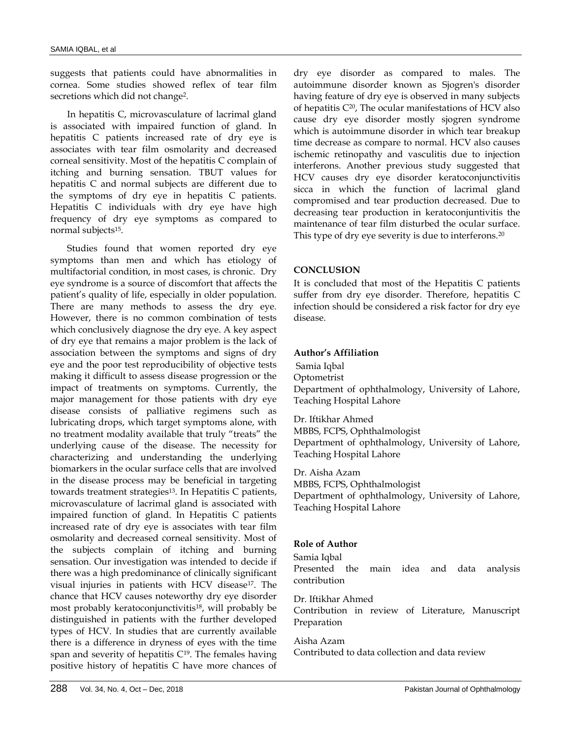suggests that patients could have abnormalities in cornea. Some studies showed reflex of tear film secretions which did not change<sup>2</sup>.

In hepatitis C, microvasculature of lacrimal gland is associated with impaired function of gland. In hepatitis C patients increased rate of dry eye is associates with tear film osmolarity and decreased corneal sensitivity. Most of the hepatitis C complain of itching and burning sensation. TBUT values for hepatitis C and normal subjects are different due to the symptoms of dry eye in hepatitis C patients. Hepatitis C individuals with dry eye have high frequency of dry eye symptoms as compared to normal subjects<sup>15</sup> .

Studies found that women reported dry eye symptoms than men and which has etiology of multifactorial condition, in most cases, is chronic. Dry eye syndrome is a source of discomfort that affects the patient's quality of life, especially in older population. There are many methods to assess the dry eye. However, there is no common combination of tests which conclusively diagnose the dry eye. A key aspect of dry eye that remains a major problem is the lack of association between the symptoms and signs of dry eye and the poor test reproducibility of objective tests making it difficult to assess disease progression or the impact of treatments on symptoms. Currently, the major management for those patients with dry eye disease consists of palliative regimens such as lubricating drops, which target symptoms alone, with no treatment modality available that truly "treats" the underlying cause of the disease. The necessity for characterizing and understanding the underlying biomarkers in the ocular surface cells that are involved in the disease process may be beneficial in targeting towards treatment strategies<sup>13</sup>. In Hepatitis C patients, microvasculature of lacrimal gland is associated with impaired function of gland. In Hepatitis C patients increased rate of dry eye is associates with tear film osmolarity and decreased corneal sensitivity. Most of the subjects complain of itching and burning sensation. Our investigation was intended to decide if there was a high predominance of clinically significant visual injuries in patients with HCV disease<sup>17</sup> . The chance that HCV causes noteworthy dry eye disorder most probably keratoconjunctivitis<sup>18</sup>, will probably be distinguished in patients with the further developed types of HCV. In studies that are currently available there is a difference in dryness of eyes with the time span and severity of hepatitis  $C^{19}$ . The females having positive history of hepatitis C have more chances of

dry eye disorder as compared to males. The autoimmune disorder known as Sjogren's disorder having feature of dry eye is observed in many subjects of hepatitis C<sup>20</sup> , The ocular manifestations of HCV also cause dry eye disorder mostly sjogren syndrome which is autoimmune disorder in which tear breakup time decrease as compare to normal. HCV also causes ischemic retinopathy and vasculitis due to injection interferons. Another previous study suggested that HCV causes dry eye disorder keratoconjunctivitis sicca in which the function of lacrimal gland compromised and tear production decreased. Due to decreasing tear production in keratoconjuntivitis the maintenance of tear film disturbed the ocular surface. This type of dry eye severity is due to interferons.<sup>20</sup>

### **CONCLUSION**

It is concluded that most of the Hepatitis C patients suffer from dry eye disorder. Therefore, hepatitis C infection should be considered a risk factor for dry eye disease.

### **Author's Affiliation**

Samia Iqbal Optometrist Department of ophthalmology, University of Lahore, Teaching Hospital Lahore

Dr. Iftikhar Ahmed MBBS, FCPS, Ophthalmologist Department of ophthalmology, University of Lahore, Teaching Hospital Lahore

Dr. Aisha Azam MBBS, FCPS, Ophthalmologist Department of ophthalmology, University of Lahore, Teaching Hospital Lahore

## **Role of Author**

Samia Iqbal

Presented the main idea and data analysis contribution

Dr. Iftikhar Ahmed

Contribution in review of Literature, Manuscript Preparation

Aisha Azam

Contributed to data collection and data review